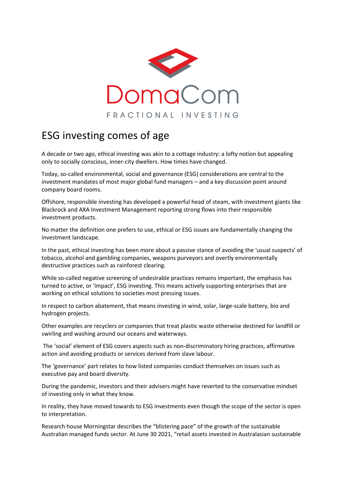

## ESG investing comes of age

A decade or two ago, ethical investing was akin to a cottage industry: a lofty notion but appealing only to socially conscious, inner-city dwellers. How times have changed.

Today, so-called environmental, social and governance (ESG) considerations are central to the investment mandates of most major global fund managers – and a key discussion point around company board rooms.

Offshore, responsible investing has developed a powerful head of steam, with investment giants like Blackrock and AXA Investment Management reporting strong flows into their responsible investment products.

No matter the definition one prefers to use, ethical or ESG issues are fundamentally changing the investment landscape.

In the past, ethical investing has been more about a passive stance of avoiding the 'usual suspects' of tobacco, alcohol and gambling companies, weapons purveyors and overtly environmentally destructive practices such as rainforest clearing.

While so-called negative screening of undesirable practices remains important, the emphasis has turned to active, or 'impact', ESG investing. This means actively supporting enterprises that are working on ethical solutions to societies most pressing issues.

In respect to carbon abatement, that means investing in wind, solar, large-scale battery, bio and hydrogen projects.

Other examples are recyclers or companies that treat plastic waste otherwise destined for landfill or swirling and washing around our oceans and waterways.

The 'social' element of ESG covers aspects such as non-discriminatory hiring practices, affirmative action and avoiding products or services derived from slave labour.

The 'governance' part relates to how listed companies conduct themselves on issues such as executive pay and board diversity.

During the pandemic, investors and their advisers might have reverted to the conservative mindset of investing only in what they know.

In reality, they have moved towards to ESG investments even though the scope of the sector is open to interpretation.

Research house Morningstar describes the "blistering pace" of the growth of the sustainable Australian managed funds sector. At June 30 2021, "retail assets invested in Australasian sustainable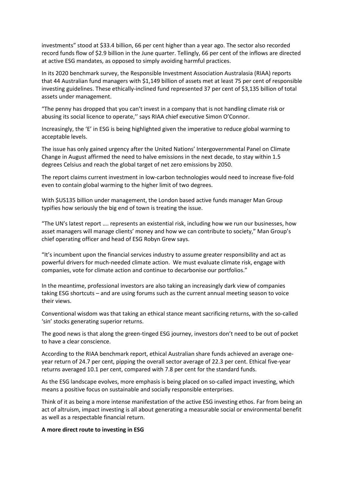investments" stood at \$33.4 billion, 66 per cent higher than a year ago. The sector also recorded record funds flow of \$2.9 billion in the June quarter. Tellingly, 66 per cent of the inflows are directed at active ESG mandates, as opposed to simply avoiding harmful practices.

In its 2020 benchmark survey, the Responsible Investment Association Australasia (RIAA) reports that 44 Australian fund managers with \$1,149 billion of assets met at least 75 per cent of responsible investing guidelines. These ethically-inclined fund represented 37 per cent of \$3,135 billion of total assets under management.

"The penny has dropped that you can't invest in a company that is not handling climate risk or abusing its social licence to operate,'' says RIAA chief executive Simon O'Connor.

Increasingly, the 'E' in ESG is being highlighted given the imperative to reduce global warming to acceptable levels.

The issue has only gained urgency after the United Nations' Intergovernmental Panel on Climate Change in August affirmed the need to halve emissions in the next decade, to stay within 1.5 degrees Celsius and reach the global target of net zero emissions by 2050.

The report claims current investment in low-carbon technologies would need to increase five-fold even to contain global warming to the higher limit of two degrees.

With \$US135 billion under management, the London based active funds manager Man Group typifies how seriously the big end of town is treating the issue.

"The UN's latest report …. represents an existential risk, including how we run our businesses, how asset managers will manage clients' money and how we can contribute to society," Man Group's chief operating officer and head of ESG Robyn Grew says.

"It's incumbent upon the financial services industry to assume greater responsibility and act as powerful drivers for much-needed climate action. We must evaluate climate risk, engage with companies, vote for climate action and continue to decarbonise our portfolios."

In the meantime, professional investors are also taking an increasingly dark view of companies taking ESG shortcuts – and are using forums such as the current annual meeting season to voice their views.

Conventional wisdom was that taking an ethical stance meant sacrificing returns, with the so-called 'sin' stocks generating superior returns.

The good news is that along the green-tinged ESG journey, investors don't need to be out of pocket to have a clear conscience.

According to the RIAA benchmark report, ethical Australian share funds achieved an average oneyear return of 24.7 per cent, pipping the overall sector average of 22.3 per cent. Ethical five-year returns averaged 10.1 per cent, compared with 7.8 per cent for the standard funds.

As the ESG landscape evolves, more emphasis is being placed on so-called impact investing, which means a positive focus on sustainable and socially responsible enterprises.

Think of it as being a more intense manifestation of the active ESG investing ethos. Far from being an act of altruism, impact investing is all about generating a measurable social or environmental benefit as well as a respectable financial return.

## **A more direct route to investing in ESG**